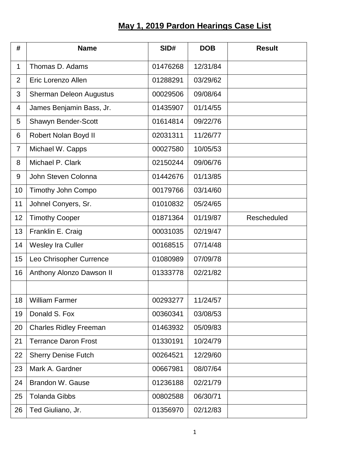## **May 1, 2019 Pardon Hearings Case List**

| #              | <b>Name</b>                    | SID#     | <b>DOB</b> | <b>Result</b>      |
|----------------|--------------------------------|----------|------------|--------------------|
| $\mathbf{1}$   | Thomas D. Adams                | 01476268 | 12/31/84   |                    |
| $\overline{2}$ | Eric Lorenzo Allen             | 01288291 | 03/29/62   |                    |
| 3              | <b>Sherman Deleon Augustus</b> | 00029506 | 09/08/64   |                    |
| 4              | James Benjamin Bass, Jr.       | 01435907 | 01/14/55   |                    |
| 5              | Shawyn Bender-Scott            | 01614814 | 09/22/76   |                    |
| 6              | Robert Nolan Boyd II           | 02031311 | 11/26/77   |                    |
| $\overline{7}$ | Michael W. Capps               | 00027580 | 10/05/53   |                    |
| 8              | Michael P. Clark               | 02150244 | 09/06/76   |                    |
| 9              | John Steven Colonna            | 01442676 | 01/13/85   |                    |
| 10             | Timothy John Compo             | 00179766 | 03/14/60   |                    |
| 11             | Johnel Conyers, Sr.            | 01010832 | 05/24/65   |                    |
| 12             | <b>Timothy Cooper</b>          | 01871364 | 01/19/87   | <b>Rescheduled</b> |
| 13             | Franklin E. Craig              | 00031035 | 02/19/47   |                    |
| 14             | Wesley Ira Culler              | 00168515 | 07/14/48   |                    |
| 15             | Leo Chrisopher Currence        | 01080989 | 07/09/78   |                    |
| 16             | Anthony Alonzo Dawson II       | 01333778 | 02/21/82   |                    |
|                |                                |          |            |                    |
| 18             | <b>William Farmer</b>          | 00293277 | 11/24/57   |                    |
| 19             | Donald S. Fox                  | 00360341 | 03/08/53   |                    |
| 20             | <b>Charles Ridley Freeman</b>  | 01463932 | 05/09/83   |                    |
| 21             | <b>Terrance Daron Frost</b>    | 01330191 | 10/24/79   |                    |
| 22             | <b>Sherry Denise Futch</b>     | 00264521 | 12/29/60   |                    |
| 23             | Mark A. Gardner                | 00667981 | 08/07/64   |                    |
| 24             | <b>Brandon W. Gause</b>        | 01236188 | 02/21/79   |                    |
| 25             | <b>Tolanda Gibbs</b>           | 00802588 | 06/30/71   |                    |
| 26             | Ted Giuliano, Jr.              | 01356970 | 02/12/83   |                    |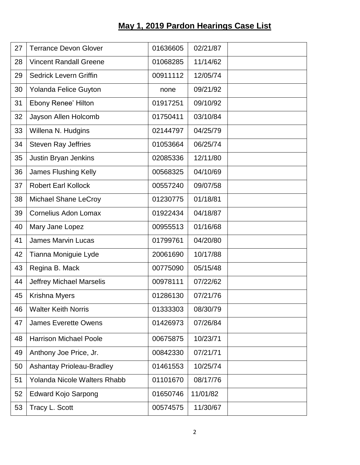## **May 1, 2019 Pardon Hearings Case List**

| 27 | <b>Terrance Devon Glover</b>        | 01636605 | 02/21/87 |  |
|----|-------------------------------------|----------|----------|--|
| 28 | <b>Vincent Randall Greene</b>       | 01068285 | 11/14/62 |  |
| 29 | <b>Sedrick Levern Griffin</b>       | 00911112 | 12/05/74 |  |
| 30 | Yolanda Felice Guyton               | none     | 09/21/92 |  |
| 31 | <b>Ebony Renee' Hilton</b>          | 01917251 | 09/10/92 |  |
| 32 | Jayson Allen Holcomb                | 01750411 | 03/10/84 |  |
| 33 | Willena N. Hudgins                  | 02144797 | 04/25/79 |  |
| 34 | <b>Steven Ray Jeffries</b>          | 01053664 | 06/25/74 |  |
| 35 | Justin Bryan Jenkins                | 02085336 | 12/11/80 |  |
| 36 | James Flushing Kelly                | 00568325 | 04/10/69 |  |
| 37 | <b>Robert Earl Kollock</b>          | 00557240 | 09/07/58 |  |
| 38 | <b>Michael Shane LeCroy</b>         | 01230775 | 01/18/81 |  |
| 39 | <b>Cornelius Adon Lomax</b>         | 01922434 | 04/18/87 |  |
| 40 | Mary Jane Lopez                     | 00955513 | 01/16/68 |  |
| 41 | <b>James Marvin Lucas</b>           | 01799761 | 04/20/80 |  |
| 42 | Tianna Moniguie Lyde                | 20061690 | 10/17/88 |  |
| 43 | Regina B. Mack                      | 00775090 | 05/15/48 |  |
| 44 | <b>Jeffrey Michael Marselis</b>     | 00978111 | 07/22/62 |  |
| 45 | <b>Krishna Myers</b>                | 01286130 | 07/21/76 |  |
| 46 | <b>Walter Keith Norris</b>          | 01333303 | 08/30/79 |  |
| 47 | <b>James Everette Owens</b>         | 01426973 | 07/26/84 |  |
| 48 | <b>Harrison Michael Poole</b>       | 00675875 | 10/23/71 |  |
| 49 | Anthony Joe Price, Jr.              | 00842330 | 07/21/71 |  |
| 50 | <b>Ashantay Prioleau-Bradley</b>    | 01461553 | 10/25/74 |  |
| 51 | <b>Yolanda Nicole Walters Rhabb</b> | 01101670 | 08/17/76 |  |
| 52 | <b>Edward Kojo Sarpong</b>          | 01650746 | 11/01/82 |  |
| 53 | Tracy L. Scott                      | 00574575 | 11/30/67 |  |